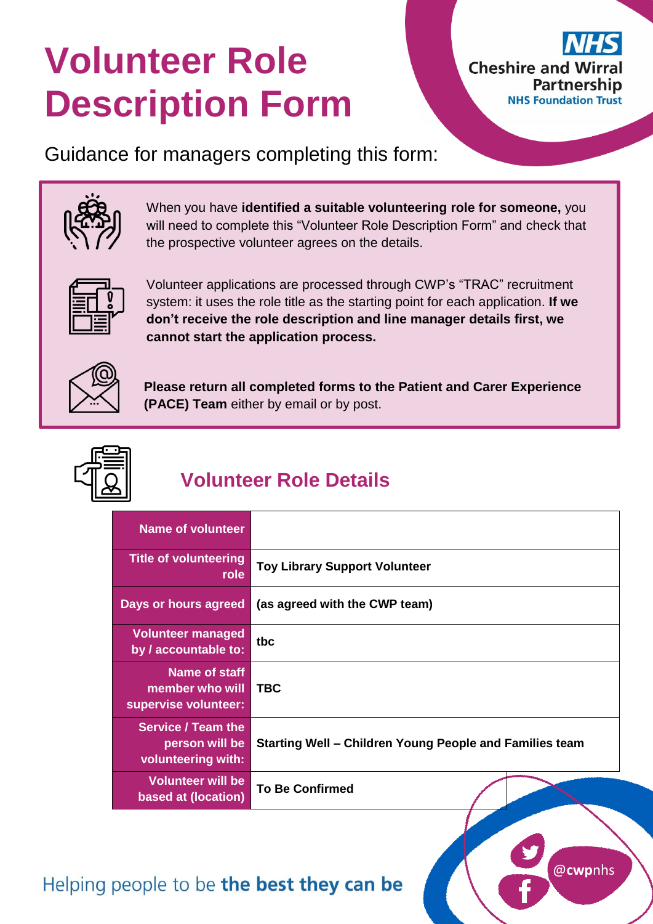# **Volunteer Role Description Form**



Guidance for managers completing this form:



When you have **identified a suitable volunteering role for someone,** you will need to complete this "Volunteer Role Description Form" and check that the prospective volunteer agrees on the details.



Volunteer applications are processed through CWP's "TRAC" recruitment system: it uses the role title as the starting point for each application. **If we don't receive the role description and line manager details first, we cannot start the application process.**



**Please return all completed forms to the Patient and Carer Experience (PACE) Team** either by email or by post.



# **Volunteer Role Details**

| <b>Name of volunteer</b>                                          |                                                         |
|-------------------------------------------------------------------|---------------------------------------------------------|
| <b>Title of volunteering</b><br>role                              | <b>Toy Library Support Volunteer</b>                    |
| Days or hours agreed                                              | (as agreed with the CWP team)                           |
| <b>Volunteer managed</b><br>by / accountable to:                  | tbc                                                     |
| Name of staff<br>member who will<br>supervise volunteer:          | <b>TBC</b>                                              |
| <b>Service / Team the</b><br>person will be<br>volunteering with: | Starting Well – Children Young People and Families team |
| <b>Volunteer will be</b><br>based at (location)                   | <b>To Be Confirmed</b>                                  |

## Helping people to be the best they can be

@**cwp**nhs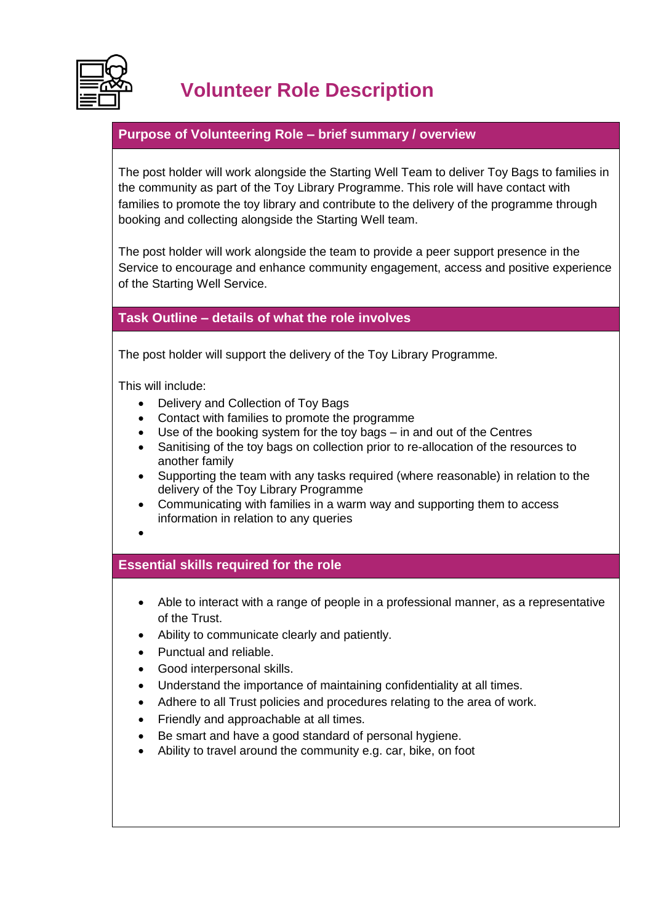

## **Volunteer Role Description**

#### **Purpose of Volunteering Role – brief summary / overview**

The post holder will work alongside the Starting Well Team to deliver Toy Bags to families in the community as part of the Toy Library Programme. This role will have contact with families to promote the toy library and contribute to the delivery of the programme through booking and collecting alongside the Starting Well team.

The post holder will work alongside the team to provide a peer support presence in the Service to encourage and enhance community engagement, access and positive experience of the Starting Well Service.

#### **Task Outline – details of what the role involves**

The post holder will support the delivery of the Toy Library Programme.

This will include:

- Delivery and Collection of Toy Bags
- Contact with families to promote the programme
- Use of the booking system for the toy bags in and out of the Centres
- Sanitising of the toy bags on collection prior to re-allocation of the resources to another family
- Supporting the team with any tasks required (where reasonable) in relation to the delivery of the Toy Library Programme
- Communicating with families in a warm way and supporting them to access information in relation to any queries
- $\bullet$

#### **Essential skills required for the role**

- Able to interact with a range of people in a professional manner, as a representative of the Trust.
- Ability to communicate clearly and patiently.
- Punctual and reliable.
- Good interpersonal skills.
- Understand the importance of maintaining confidentiality at all times.
- Adhere to all Trust policies and procedures relating to the area of work.
- Friendly and approachable at all times.
- Be smart and have a good standard of personal hygiene.
- Ability to travel around the community e.g. car, bike, on foot